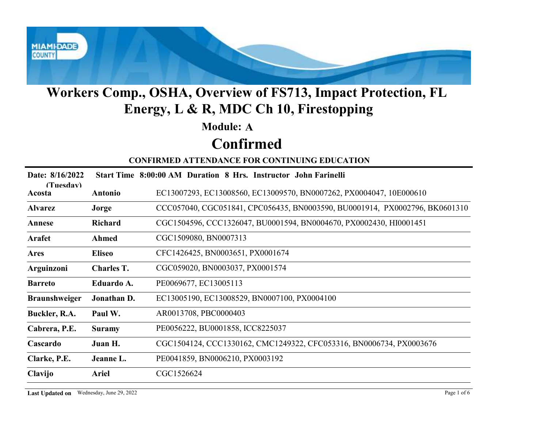

#### Module: A

### Confirmed

| Workers Comp., OSHA, Overview of FS713, Impact Protection, FL<br>Energy, L & R, MDC Ch 10, Firestopping |                   |                                                                             |  |  |
|---------------------------------------------------------------------------------------------------------|-------------------|-----------------------------------------------------------------------------|--|--|
|                                                                                                         |                   | <b>Module: A</b>                                                            |  |  |
|                                                                                                         |                   | <b>Confirmed</b>                                                            |  |  |
|                                                                                                         |                   | <b>CONFIRMED ATTENDANCE FOR CONTINUING EDUCATION</b>                        |  |  |
| Date: 8/16/2022<br>(Tuesday)                                                                            |                   | Start Time 8:00:00 AM Duration 8 Hrs. Instructor John Farinelli             |  |  |
| Acosta                                                                                                  | <b>Antonio</b>    | EC13007293, EC13008560, EC13009570, BN0007262, PX0004047, 10E000610         |  |  |
| <b>Alvarez</b>                                                                                          | Jorge             | CCC057040, CGC051841, CPC056435, BN0003590, BU0001914, PX0002796, BK0601310 |  |  |
| Annese                                                                                                  | <b>Richard</b>    | CGC1504596, CCC1326047, BU0001594, BN0004670, PX0002430, HI0001451          |  |  |
| Arafet                                                                                                  | <b>Ahmed</b>      | CGC1509080, BN0007313                                                       |  |  |
| Ares                                                                                                    | <b>Eliseo</b>     | CFC1426425, BN0003651, PX0001674                                            |  |  |
| Arguinzoni                                                                                              | <b>Charles T.</b> | CGC059020, BN0003037, PX0001574                                             |  |  |
| <b>Barreto</b>                                                                                          | Eduardo A.        | PE0069677, EC13005113                                                       |  |  |
| <b>Braunshweiger</b>                                                                                    | Jonathan D.       | EC13005190, EC13008529, BN0007100, PX0004100                                |  |  |
| Buckler, R.A.                                                                                           | Paul W.           | AR0013708, PBC0000403                                                       |  |  |
| Cabrera, P.E.                                                                                           | <b>Suramy</b>     | PE0056222, BU0001858, ICC8225037                                            |  |  |
| Cascardo                                                                                                | Juan H.           | CGC1504124, CCC1330162, CMC1249322, CFC053316, BN0006734, PX0003676         |  |  |
| Clarke, P.E.                                                                                            | Jeanne L.         | PE0041859, BN0006210, PX0003192                                             |  |  |
| Clavijo                                                                                                 | Ariel             | CGC1526624                                                                  |  |  |
| Last Updated on Wednesday, June 29, 2022                                                                |                   | Page 1 of 6                                                                 |  |  |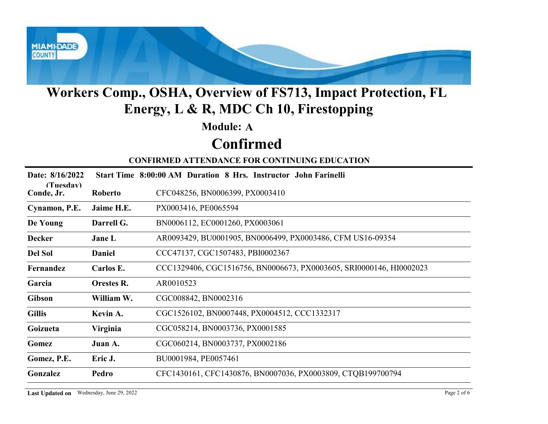

#### Module: A

# Confirmed

| Workers Comp., OSHA, Overview of FS713, Impact Protection, FL<br>Energy, L & R, MDC Ch 10, Firestopping |                   |                                                                     |  |  |
|---------------------------------------------------------------------------------------------------------|-------------------|---------------------------------------------------------------------|--|--|
|                                                                                                         |                   | <b>Module: A</b>                                                    |  |  |
|                                                                                                         |                   | <b>Confirmed</b>                                                    |  |  |
|                                                                                                         |                   | <b>CONFIRMED ATTENDANCE FOR CONTINUING EDUCATION</b>                |  |  |
| Date: 8/16/2022                                                                                         |                   | Start Time 8:00:00 AM Duration 8 Hrs. Instructor John Farinelli     |  |  |
| (Tuesday)<br>Conde, Jr.                                                                                 | Roberto           | CFC048256, BN0006399, PX0003410                                     |  |  |
| Cynamon, P.E.                                                                                           | Jaime H.E.        | PX0003416, PE0065594                                                |  |  |
| De Young                                                                                                | Darrell G.        | BN0006112, EC0001260, PX0003061                                     |  |  |
| <b>Decker</b>                                                                                           | Jane L            | AR0093429, BU0001905, BN0006499, PX0003486, CFM US16-09354          |  |  |
| <b>Del Sol</b>                                                                                          | <b>Daniel</b>     | CCC47137, CGC1507483, PBI0002367                                    |  |  |
| Fernandez                                                                                               | Carlos E.         | CCC1329406, CGC1516756, BN0006673, PX0003605, SRI0000146, HI0002023 |  |  |
| Garcia                                                                                                  | <b>Orestes R.</b> | AR0010523                                                           |  |  |
| Gibson                                                                                                  | William W.        | CGC008842, BN0002316                                                |  |  |
| <b>Gillis</b>                                                                                           | Kevin A.          | CGC1526102, BN0007448, PX0004512, CCC1332317                        |  |  |
| Goizueta                                                                                                | Virginia          | CGC058214, BN0003736, PX0001585                                     |  |  |
| Gomez                                                                                                   | Juan A.           | CGC060214, BN0003737, PX0002186                                     |  |  |
| Gomez, P.E.                                                                                             | Eric J.           | BU0001984, PE0057461                                                |  |  |
| Gonzalez                                                                                                | Pedro             | CFC1430161, CFC1430876, BN0007036, PX0003809, CTQB199700794         |  |  |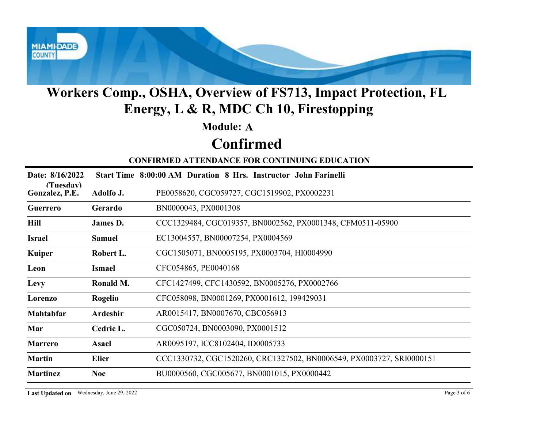

#### Module: A

# Confirmed

| Workers Comp., OSHA, Overview of FS713, Impact Protection, FL<br>Energy, L & R, MDC Ch 10, Firestopping |                |                                                                      |  |  |
|---------------------------------------------------------------------------------------------------------|----------------|----------------------------------------------------------------------|--|--|
|                                                                                                         |                | <b>Module: A</b>                                                     |  |  |
|                                                                                                         |                | <b>Confirmed</b>                                                     |  |  |
|                                                                                                         |                | <b>CONFIRMED ATTENDANCE FOR CONTINUING EDUCATION</b>                 |  |  |
| Date: 8/16/2022                                                                                         |                | Start Time 8:00:00 AM Duration 8 Hrs. Instructor John Farinelli      |  |  |
| (Tuesdav)<br>Gonzalez, P.E.                                                                             | Adolfo J.      | PE0058620, CGC059727, CGC1519902, PX0002231                          |  |  |
| Guerrero                                                                                                | Gerardo        | BN0000043, PX0001308                                                 |  |  |
| <b>Hill</b>                                                                                             | James D.       | CCC1329484, CGC019357, BN0002562, PX0001348, CFM0511-05900           |  |  |
| <b>Israel</b>                                                                                           | <b>Samuel</b>  | EC13004557, BN00007254, PX0004569                                    |  |  |
| <b>Kuiper</b>                                                                                           | Robert L.      | CGC1505071, BN0005195, PX0003704, HI0004990                          |  |  |
| Leon                                                                                                    | <b>Ismael</b>  | CFC054865, PE0040168                                                 |  |  |
| Levy                                                                                                    | Ronald M.      | CFC1427499, CFC1430592, BN0005276, PX0002766                         |  |  |
| Lorenzo                                                                                                 | <b>Rogelio</b> | CFC058098, BN0001269, PX0001612, 199429031                           |  |  |
| Mahtabfar                                                                                               | Ardeshir       | AR0015417, BN0007670, CBC056913                                      |  |  |
| Mar                                                                                                     | Cedric L.      | CGC050724, BN0003090, PX0001512                                      |  |  |
| <b>Marrero</b>                                                                                          | <b>Asael</b>   | AR0095197, ICC8102404, ID0005733                                     |  |  |
| <b>Martin</b>                                                                                           | <b>Elier</b>   | CCC1330732, CGC1520260, CRC1327502, BN0006549, PX0003727, SRI0000151 |  |  |
| <b>Martinez</b>                                                                                         | <b>Noe</b>     | BU0000560, CGC005677, BN0001015, PX0000442                           |  |  |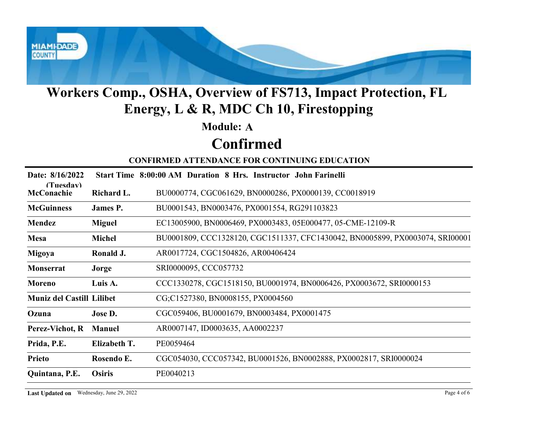

#### Module: A

### Confirmed

| <b>Module: A</b><br><b>Confirmed</b><br><b>CONFIRMED ATTENDANCE FOR CONTINUING EDUCATION</b>                  |  |
|---------------------------------------------------------------------------------------------------------------|--|
|                                                                                                               |  |
|                                                                                                               |  |
|                                                                                                               |  |
| Date: 8/16/2022<br>Start Time 8:00:00 AM Duration 8 Hrs. Instructor John Farinelli                            |  |
| (Tuesday)<br><b>McConachie</b><br>BU0000774, CGC061629, BN0000286, PX0000139, CC0018919<br>Richard L.         |  |
| BU0001543, BN0003476, PX0001554, RG291103823<br><b>McGuinness</b><br><b>James P.</b>                          |  |
| EC13005900, BN0006469, PX0003483, 05E000477, 05-CME-12109-R<br>Mendez<br><b>Miguel</b>                        |  |
| BU0001809, CCC1328120, CGC1511337, CFC1430042, BN0005899, PX0003074, SRI00001<br><b>Mesa</b><br><b>Michel</b> |  |
| AR0017724, CGC1504826, AR00406424<br>Migoya<br>Ronald J.                                                      |  |
| SRI0000095, CCC057732<br>Monserrat<br>Jorge                                                                   |  |
| CCC1330278, CGC1518150, BU0001974, BN0006426, PX0003672, SRI0000153<br><b>Moreno</b><br>Luis A.               |  |
| <b>Muniz del Castill Lilibet</b><br>CG;C1527380, BN0008155, PX0004560                                         |  |
| CGC059406, BU0001679, BN0003484, PX0001475<br>Jose D.<br>Ozuna                                                |  |
| AR0007147, ID0003635, AA0002237<br>Perez-Vichot, R<br><b>Manuel</b>                                           |  |
| Elizabeth T.<br>PE0059464<br>Prida, P.E.                                                                      |  |
| CGC054030, CCC057342, BU0001526, BN0002888, PX0002817, SRI0000024<br>Rosendo E.<br><b>Prieto</b>              |  |
| Quintana, P.E.<br><b>Osiris</b><br>PE0040213                                                                  |  |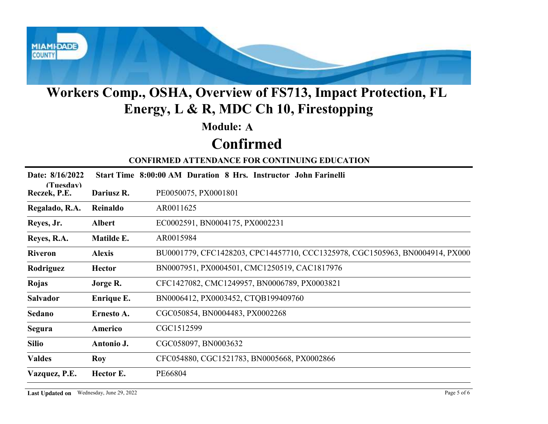

#### Module: A

### Confirmed

| <b>Module: A</b><br><b>Confirmed</b><br><b>CONFIRMED ATTENDANCE FOR CONTINUING EDUCATION</b><br>Date: 8/16/2022<br>Start Time 8:00:00 AM Duration 8 Hrs. Instructor John Farinelli<br>(Tuesday)<br>Reczek, P.E.<br>PE0050075, PX0001801<br>Dariusz R.<br>Regalado, R.A.<br>AR0011625<br>Reinaldo<br>EC0002591, BN0004175, PX0002231<br>Reyes, Jr.<br><b>Albert</b> |  |
|--------------------------------------------------------------------------------------------------------------------------------------------------------------------------------------------------------------------------------------------------------------------------------------------------------------------------------------------------------------------|--|
|                                                                                                                                                                                                                                                                                                                                                                    |  |
|                                                                                                                                                                                                                                                                                                                                                                    |  |
|                                                                                                                                                                                                                                                                                                                                                                    |  |
|                                                                                                                                                                                                                                                                                                                                                                    |  |
|                                                                                                                                                                                                                                                                                                                                                                    |  |
|                                                                                                                                                                                                                                                                                                                                                                    |  |
|                                                                                                                                                                                                                                                                                                                                                                    |  |
| Matilde E.<br>AR0015984<br>Reyes, R.A.                                                                                                                                                                                                                                                                                                                             |  |
| BU0001779, CFC1428203, CPC14457710, CCC1325978, CGC1505963, BN0004914, PX000<br><b>Riveron</b><br><b>Alexis</b>                                                                                                                                                                                                                                                    |  |
| BN0007951, PX0004501, CMC1250519, CAC1817976<br>Rodriguez<br><b>Hector</b>                                                                                                                                                                                                                                                                                         |  |
| CFC1427082, CMC1249957, BN0006789, PX0003821<br>Rojas<br>Jorge R.                                                                                                                                                                                                                                                                                                  |  |
| BN0006412, PX0003452, CTQB199409760<br>Salvador<br>Enrique E.                                                                                                                                                                                                                                                                                                      |  |
| CGC050854, BN0004483, PX0002268<br>Sedano<br>Ernesto A.                                                                                                                                                                                                                                                                                                            |  |
| CGC1512599<br>Segura<br>Americo                                                                                                                                                                                                                                                                                                                                    |  |
| CGC058097, BN0003632<br><b>Silio</b><br>Antonio J.                                                                                                                                                                                                                                                                                                                 |  |
| CFC054880, CGC1521783, BN0005668, PX0002866<br><b>Valdes</b><br>Roy                                                                                                                                                                                                                                                                                                |  |
| Hector E.<br>PE66804<br>Vazquez, P.E.                                                                                                                                                                                                                                                                                                                              |  |